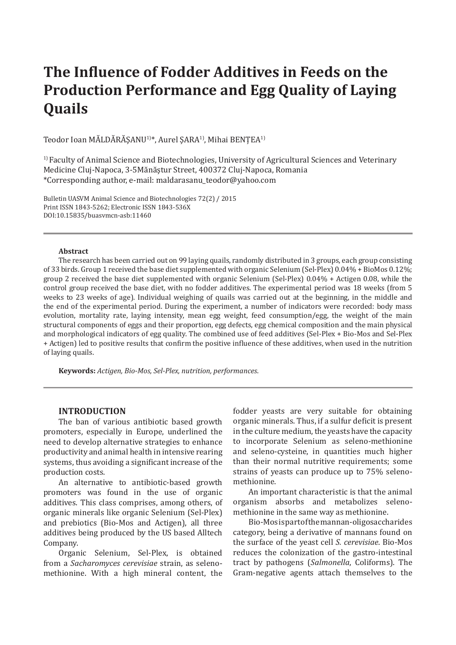# **The Influence of Fodder Additives in Feeds on the Production Performance and Egg Quality of Laying Quails**

Teodor Ioan MĂLDĂRĂSANU<sup>1)\*</sup>, Aurel SARA<sup>1)</sup>, Mihai BENTEA<sup>1)</sup>

<sup>1)</sup> Faculty of Animal Science and Biotechnologies, University of Agricultural Sciences and Veterinary Medicine Cluj-Napoca, 3-5Mănăştur Street, 400372 Cluj-Napoca, Romania \*Corresponding author, e-mail: maldarasanu\_teodor@yahoo.com

Bulletin UASVM Animal Science and Biotechnologies 72(2) / 2015 Print ISSN 1843-5262; Electronic ISSN 1843-536X DOI:10.15835/buasvmcn-asb:11460

#### **Abstract**

The research has been carried out on 99 laying quails, randomly distributed in 3 groups, each group consisting of 33 birds. Group 1 received the base diet supplemented with organic Selenium (Sel-Plex) 0.04% + BioMos 0.12%; group 2 received the base diet supplemented with organic Selenium (Sel-Plex) 0.04% + Actigen 0.08, while the control group received the base diet, with no fodder additives. The experimental period was 18 weeks (from 5 weeks to 23 weeks of age). Individual weighing of quails was carried out at the beginning, in the middle and the end of the experimental period. During the experiment, a number of indicators were recorded: body mass evolution, mortality rate, laying intensity, mean egg weight, feed consumption/egg, the weight of the main structural components of eggs and their proportion, egg defects, egg chemical composition and the main physical and morphological indicators of egg quality. The combined use of feed additives (Sel-Plex + Bio-Mos and Sel-Plex + Actigen) led to positive results that confirm the positive influence of these additives, when used in the nutrition of laying quails.

**Keywords:** *Actigen, Bio-Mos, Sel-Plex, nutrition, performances*.

#### **INTRODUCTION**

The ban of various antibiotic based growth promoters, especially in Europe, underlined the need to develop alternative strategies to enhance productivity and animal health in intensive rearing systems, thus avoiding a significant increase of the production costs.

An alternative to antibiotic-based growth promoters was found in the use of organic additives. This class comprises, among others, of organic minerals like organic Selenium (Sel-Plex) and prebiotics (Bio-Mos and Actigen), all three additives being produced by the US based Alltech Company.

Organic Selenium, Sel-Plex, is obtained from a *Sacharomyces cerevisiae* strain, as selenomethionine. With a high mineral content, the

fodder yeasts are very suitable for obtaining organic minerals. Thus, if a sulfur deficit is present in the culture medium, the yeasts have the capacity to incorporate Selenium as seleno-methionine and seleno-cysteine, in quantities much higher than their normal nutritive requirements; some strains of yeasts can produce up to 75% selenomethionine.

An important characteristic is that the animal organism absorbs and metabolizes selenomethionine in the same way as methionine.

Bio-Mos is part of the mannan-oligosaccharides category, being a derivative of mannans found on the surface of the yeast cell *S. cerevisiae*. Bio-Mos reduces the colonization of the gastro-intestinal tract by pathogens (*Salmonella*, Coliforms). The Gram-negative agents attach themselves to the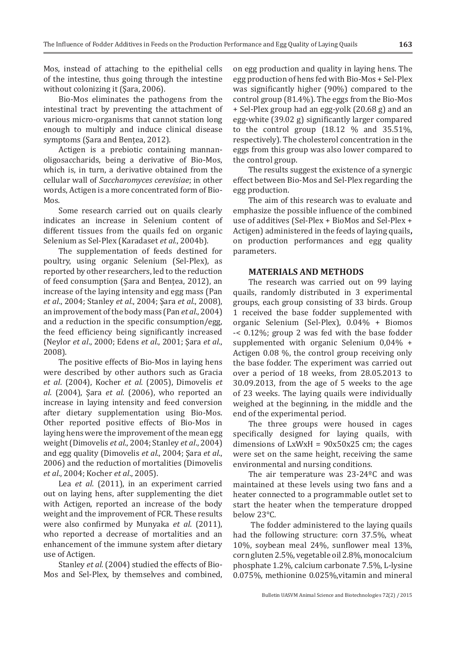Mos, instead of attaching to the epithelial cells of the intestine, thus going through the intestine without colonizing it (Sara, 2006).

Bio-Mos eliminates the pathogens from the intestinal tract by preventing the attachment of various micro-organisms that cannot station long enough to multiply and induce clinical disease symptoms (Sara and Bentea, 2012).

Actigen is a prebiotic containing mannanoligosaccharids, being a derivative of Bio-Mos, which is, in turn, a derivative obtained from the cellular wall of *Saccharomyces cerevisiae*; in other words, Actigen is a more concentrated form of Bio-Mos.

Some research carried out on quails clearly indicates an increase in Selenium content of different tissues from the quails fed on organic Selenium as Sel-Plex (Karadaset *et al.*, 2004b).

The supplementation of feeds destined for poultry, using organic Selenium (Sel-Plex), as reported by other researchers, led to the reduction of feed consumption (Şara and Benţea, 2012), an increase of the laying intensity and egg mass (Pan *et al*., 2004; Stanley *et al*., 2004; Şara *et al*., 2008), an improvement of the body mass (Pan *et al*., 2004) and a reduction in the specific consumption/egg, the feed efficiency being significantly increased (Neylor *et al*., 2000; Edens *et al.*, 2001; Şara *et al*., 2008).

The positive effects of Bio-Mos in laying hens were described by other authors such as Gracia *et al*. (2004), Kocher *et al*. (2005), Dimovelis *et al*. (2004), Şara *et al*. (2006), who reported an increase in laying intensity and feed conversion after dietary supplementation using Bio-Mos. Other reported positive effects of Bio-Mos in laying hens were the improvement of the mean egg weight (Dimovelis *et al*., 2004; Stanley *et al*., 2004) and egg quality (Dimovelis *et al*., 2004; Şara *et al*., 2006) and the reduction of mortalities (Dimovelis *et al*., 2004; Kocher *et al*., 2005).

Lea *et al*. (2011), in an experiment carried out on laying hens, after supplementing the diet with Actigen, reported an increase of the body weight and the improvement of FCR. These results were also confirmed by Munyaka *et al*. (2011), who reported a decrease of mortalities and an enhancement of the immune system after dietary use of Actigen.

Stanley *et al.* (2004) studied the effects of Bio-Mos and Sel-Plex, by themselves and combined,

on egg production and quality in laying hens. The egg production of hens fed with Bio-Mos + Sel-Plex was significantly higher (90%) compared to the control group (81.4%). The eggs from the Bio-Mos + Sel-Plex group had an egg-yolk (20.68 g) and an egg-white (39.02 g) significantly larger compared to the control group (18.12 % and 35.51%, respectively). The cholesterol concentration in the eggs from this group was also lower compared to the control group.

The results suggest the existence of a synergic effect between Bio-Mos and Sel-Plex regarding the egg production.

The aim of this research was to evaluate and emphasize the possible influence of the combined use of additives (Sel-Plex + BioMos and Sel-Plex + Actigen) administered in the feeds of laying quails**,**  on production performances and egg quality parameters.

### **MATERIALS AND METHODS**

The research was carried out on 99 laying quails, randomly distributed in 3 experimental groups, each group consisting of 33 birds. Group 1 received the base fodder supplemented with organic Selenium (Sel-Plex), 0.04% + Biomos -< 0.12%; group 2 was fed with the base fodder supplemented with organic Selenium 0,04% + Actigen 0.08 %, the control group receiving only the base fodder. The experiment was carried out over a period of 18 weeks, from 28.05.2013 to 30.09.2013, from the age of 5 weeks to the age of 23 weeks. The laying quails were individually weighed at the beginning, in the middle and the end of the experimental period.

The three groups were housed in cages specifically designed for laying quails, with dimensions of  $LxWxH = 90x50x25$  cm; the cages were set on the same height, receiving the same environmental and nursing conditions.

The air temperature was 23-24ºC and was maintained at these levels using two fans and a heater connected to a programmable outlet set to start the heater when the temperature dropped below 23°C.

 The fodder administered to the laying quails had the following structure: corn 37.5%, wheat 10%, soybean meal 24%, sunflower meal 13%, corn gluten 2.5%, vegetable oil 2.8%, monocalcium phosphate 1.2%, calcium carbonate 7.5%, L-lysine 0.075%, methionine 0.025%,vitamin and mineral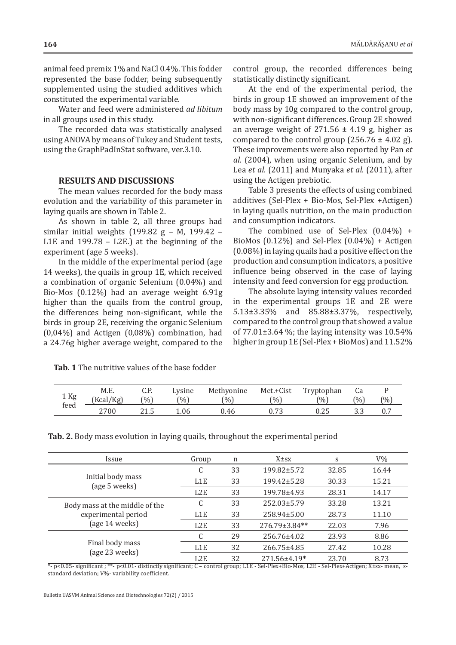animal feed premix 1% and NaCl 0.4%. This fodder represented the base fodder, being subsequently supplemented using the studied additives which constituted the experimental variable.

Water and feed were administered *ad libitum* in all groups used in this study.

The recorded data was statistically analysed using ANOVA by means of Tukey and Student tests, using the GraphPadInStat software, ver.3.10.

#### **RESULTS AND DISCUSSIONS**

The mean values recorded for the body mass evolution and the variability of this parameter in laying quails are shown in Table 2.

As shown in table 2, all three groups had similar initial weights (199.82 g – M, 199.42 – L1E and 199.78 – L2E.) at the beginning of the experiment (age 5 weeks).

In the middle of the experimental period (age 14 weeks), the quails in group 1E, which received a combination of organic Selenium (0.04%) and Bio-Mos (0.12%) had an average weight 6.91g higher than the quails from the control group, the differences being non-significant, while the birds in group 2E, receiving the organic Selenium (0,04%) and Actigen (0,08%) combination, had a 24.76g higher average weight, compared to the

**Tab. 1** The nutritive values of the base fodder

control group, the recorded differences being statistically distinctly significant.

At the end of the experimental period, the birds in group 1E showed an improvement of the body mass by 10g compared to the control group, with non-significant differences. Group 2E showed an average weight of  $271.56 \pm 4.19$  g, higher as compared to the control group  $(256.76 \pm 4.02 \text{ g})$ . These improvements were also reported by Pan *et al*. (2004), when using organic Selenium, and by Lea *et al*. (2011) and Munyaka *et al*. (2011), after using the Actigen prebiotic.

Table 3 presents the effects of using combined additives (Sel-Plex + Bio-Mos, Sel-Plex +Actigen) in laying quails nutrition, on the main production and consumption indicators.

The combined use of Sel-Plex (0.04%) + BioMos  $(0.12\%)$  and Sel-Plex  $(0.04\%)$  + Actigen (0.08%) in laying quails had a positive effect on the production and consumption indicators, a positive influence being observed in the case of laying intensity and feed conversion for egg production.

The absolute laying intensity values recorded in the experimental groups 1E and 2E were 5.13±3.35% and 85.88±3.37%, respectively, compared to the control group that showed a value of  $77.01\pm3.64$  %; the laying intensity was  $10.54\%$ higher in group 1E (Sel-Plex + BioMos) and 11.52%

| 1 Kg<br>feed | M.E.<br>[Kcal/Kg] | C.P.<br>(%) | Lysine<br>(%) | Methyonine<br>$\frac{10}{6}$ | Met.+Cist<br>(0/0) | Tryptophan<br>(0/0) | Cа<br>(%) | $(%^{(0)})(\cdot)\times (\cdot)^{2}) = 1 - \frac{1}{2}$ |
|--------------|-------------------|-------------|---------------|------------------------------|--------------------|---------------------|-----------|---------------------------------------------------------|
|              | 2700              | 41.J        | 1.06          | 0.46                         | v. / J             | u.zo                | ວ.ວ       | ∪.7                                                     |

**Tab. 2.** Body mass evolution in laying quails, throughout the experimental period

| <i><u><b>Issue</b></u></i>     | Group            | n  | $X \pm SX$          | S     | $V\%$ |
|--------------------------------|------------------|----|---------------------|-------|-------|
|                                | C                | 33 | 199.82±5.72         | 32.85 | 16.44 |
| Initial body mass              | L <sub>1</sub> E | 33 | 199.42±5.28         | 30.33 | 15.21 |
| (age 5 weeks)                  | L2E              | 33 | 199.78±4.93         | 28.31 | 14.17 |
| Body mass at the middle of the |                  | 33 | 252.03±5.79         | 33.28 | 13.21 |
| experimental period            | L <sub>1</sub> E | 33 | 258.94±5.00         | 28.73 | 11.10 |
| (age 14 weeks)                 | L2E              | 33 | $276.79 \pm 3.84**$ | 22.03 | 7.96  |
|                                | C                | 29 | 256.76±4.02         | 23.93 | 8.86  |
| Final body mass                | L <sub>1</sub> E | 32 | 266.75±4.85         | 27.42 | 10.28 |
| (age 23 weeks)                 | L2E              | 32 | 271.56±4.19*        | 23.70 | 8.73  |

\*- p<0.05- significant ; \*\*- p<0.01- distinctly significant; C – control group; L1E - Sel-Plex+Bio-Mos, L2E - Sel-Plex+Actigen; X±sx- mean, sstandard deviation; V%- variability coefficient.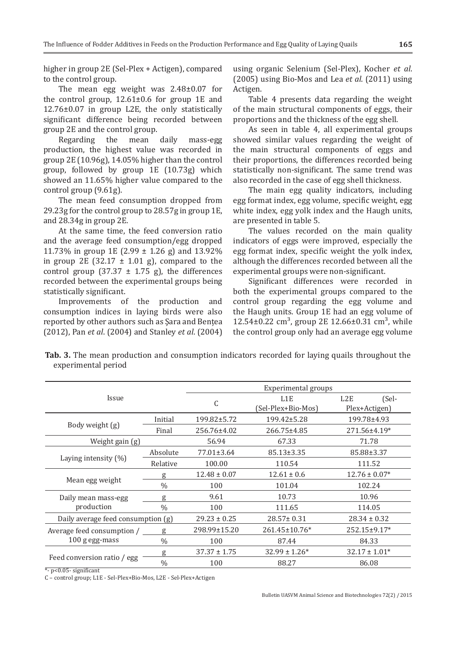higher in group 2E (Sel-Plex + Actigen), compared to the control group.

The mean egg weight was 2.48±0.07 for the control group, 12.61±0.6 for group 1E and 12.76±0.07 in group L2E, the only statistically significant difference being recorded between group 2E and the control group.<br>Regarding the mean

daily mass-egg production, the highest value was recorded in group 2E (10.96g), 14.05% higher than the control group, followed by group 1E (10.73g) which showed an 11.65% higher value compared to the control group (9.61g).

The mean feed consumption dropped from 29.23g for the control group to 28.57g in group 1E, and 28.34g in group 2E.

At the same time, the feed conversion ratio and the average feed consumption/egg dropped 11.73% in group 1E (2.99 ± 1.26 g) and 13.92% in group 2E (32.17  $\pm$  1.01 g), compared to the control group (37.37  $\pm$  1.75 g), the differences recorded between the experimental groups being statistically significant.

Improvements of the production and consumption indices in laying birds were also reported by other authors such as Şara and Benţea (2012), Pan *et al*. (2004) and Stanley *et al*. (2004)

using organic Selenium (Sel-Plex), Kocher *et al*. (2005) using Bio-Mos and Lea *et al*. (2011) using Actigen.

Table 4 presents data regarding the weight of the main structural components of eggs, their proportions and the thickness of the egg shell.

As seen in table 4, all experimental groups showed similar values regarding the weight of the main structural components of eggs and their proportions, the differences recorded being statistically non-significant. The same trend was also recorded in the case of egg shell thickness.

The main egg quality indicators, including egg format index, egg volume, specific weight, egg white index, egg yolk index and the Haugh units, are presented in table 5.

The values recorded on the main quality indicators of eggs were improved, especially the egg format index, specific weight the yolk index, although the differences recorded between all the experimental groups were non-significant.

Significant differences were recorded in both the experimental groups compared to the control group regarding the egg volume and the Haugh units. Group 1E had an egg volume of  $12.54\pm0.22$  cm<sup>3</sup>, group 2E 12.66 $\pm$ 0.31 cm<sup>3</sup>, while the control group only had an average egg volume

**Tab. 3.** The mean production and consumption indicators recorded for laying quails throughout the experimental period

|                                    |               |                  | <b>Experimental groups</b>             |                                            |  |
|------------------------------------|---------------|------------------|----------------------------------------|--------------------------------------------|--|
| Issue                              |               | C                | L <sub>1</sub> E<br>(Sel-Plex+Bio-Mos) | (Sel-<br>L <sub>2</sub> E<br>Plex+Actigen) |  |
|                                    | Initial       | 199.82±5.72      | 199.42±5.28                            | 199.78±4.93                                |  |
| Body weight (g)                    | Final         | 256.76±4.02      | 266.75±4.85                            | 271.56±4.19*                               |  |
| Weight gain (g)                    |               | 56.94            | 67.33                                  | 71.78                                      |  |
|                                    | Absolute      | $77.01 \pm 3.64$ | $85.13 \pm 3.35$                       | 85.88±3.37                                 |  |
| Laying intensity $(\%)$            | Relative      | 100.00           | 110.54                                 | 111.52                                     |  |
|                                    | g             | $12.48 \pm 0.07$ | $12.61 \pm 0.6$                        | $12.76 \pm 0.07*$                          |  |
| Mean egg weight                    | $\frac{0}{0}$ | 100              | 101.04                                 | 102.24                                     |  |
| Daily mean mass-egg                | g             | 9.61             | 10.73                                  | 10.96                                      |  |
| production                         | $\frac{0}{0}$ | 100              | 111.65                                 | 114.05                                     |  |
| Daily average feed consumption (g) |               | $29.23 \pm 0.25$ | 28.57±0.31                             | $28.34 \pm 0.32$                           |  |
| Average feed consumption /         | g             | 298.99±15.20     | $261.45 \pm 10.76*$                    | $252.15 \pm 9.17*$                         |  |
| 100 g egg-mass                     | $\%$          | 100              | 87.44                                  | 84.33                                      |  |
|                                    | g             | $37.37 \pm 1.75$ | $32.99 \pm 1.26*$                      | $32.17 \pm 1.01*$                          |  |
| Feed conversion ratio / egg        | $\frac{0}{0}$ | 100              | 88.27                                  | 86.08                                      |  |

\*- p<0.05- significant

C – control group; L1E - Sel-Plex+Bio-Mos, L2E - Sel-Plex+Actigen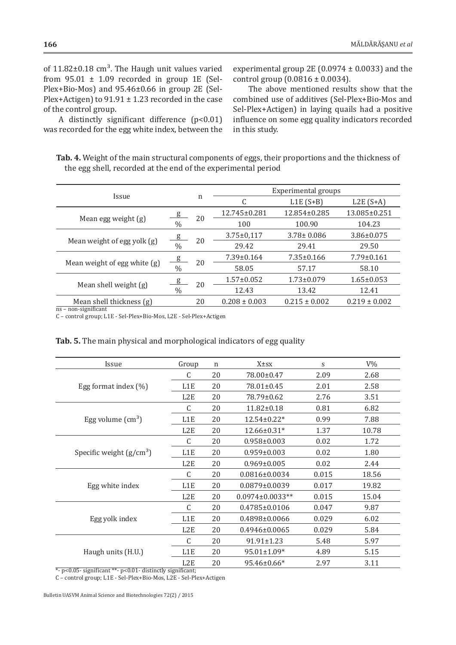of  $11.82\pm0.18$  cm<sup>3</sup>. The Haugh unit values varied from  $95.01 \pm 1.09$  recorded in group 1E (Sel-Plex+Bio-Mos) and 95.46±0.66 in group 2E (Sel-Plex+Actigen) to  $91.91 \pm 1.23$  recorded in the case of the control group.

A distinctly significant difference (p<0.01) was recorded for the egg white index, between the experimental group 2E (0.0974  $\pm$  0.0033) and the control group  $(0.0816 \pm 0.0034)$ .

The above mentioned results show that the combined use of additives (Sel-Plex+Bio-Mos and Sel-Plex+Actigen) in laying quails had a positive influence on some egg quality indicators recorded in this study.

| Tab. 4. Weight of the main structural components of eggs, their proportions and the thickness of |  |
|--------------------------------------------------------------------------------------------------|--|
| the egg shell, recorded at the end of the experimental period                                    |  |

| <i><u><b>Issue</b></u></i>   |                | n  | Experimental groups |                   |                   |  |
|------------------------------|----------------|----|---------------------|-------------------|-------------------|--|
|                              |                |    |                     | $L1E(S+B)$        | $L2E(S+A)$        |  |
|                              | g              |    | 12.745±0.281        | 12.854±0.285      | 13.085±0.251      |  |
| Mean egg weight (g)          | $\%$           | 20 | 100                 | 100.90            | 104.23            |  |
|                              | $\overline{g}$ |    | $3.75 \pm 0.117$    | $3.78 \pm 0.086$  | $3.86 \pm 0.075$  |  |
| Mean weight of egg yolk (g)  | $\frac{0}{0}$  | 20 | 29.42               | 29.41             | 29.50             |  |
|                              | $\frac{g}{g}$  |    | $7.39 \pm 0.164$    | $7.35 \pm 0.166$  | $7.79 \pm 0.161$  |  |
| Mean weight of egg white (g) | $\frac{0}{0}$  | 20 | 58.05               | 57.17             | 58.10             |  |
|                              | $_{\rm g}$     |    | $1.57 \pm 0.052$    | $1.73 \pm 0.079$  | $1.65 \pm 0.053$  |  |
| Mean shell weight $(g)$      | $\%$           | 20 | 12.43               | 13.42             | 12.41             |  |
| Mean shell thickness (g)     |                | 20 | $0.208 \pm 0.003$   | $0.215 \pm 0.002$ | $0.219 \pm 0.002$ |  |

ns – non-significant

C – control group; L1E - Sel-Plex+Bio-Mos, L2E - Sel-Plex+Actigen

## **Tab. 5.** The main physical and morphological indicators of egg quality

| Issue                      | Group            | n  | X±sx                | S     | $V\%$ |
|----------------------------|------------------|----|---------------------|-------|-------|
|                            | C                | 20 | 78.00±0.47          | 2.09  | 2.68  |
| Egg format index $(\%)$    | L1E              | 20 | 78.01±0.45          | 2.01  | 2.58  |
|                            | L2E              | 20 | 78.79±0.62          | 2.76  | 3.51  |
|                            | C                | 20 | $11.82 \pm 0.18$    | 0.81  | 6.82  |
| Egg volume $\text{cm}^3$ ) | L <sub>1</sub> E | 20 | $12.54 \pm 0.22*$   | 0.99  | 7.88  |
|                            | L2E              | 20 | $12.66 \pm 0.31*$   | 1.37  | 10.78 |
|                            | C                | 20 | $0.958 \pm 0.003$   | 0.02  | 1.72  |
| Specific weight $(g/cm3)$  | L <sub>1</sub> E | 20 | $0.959 \pm 0.003$   | 0.02  | 1.80  |
|                            | L2E              | 20 | $0.969 \pm 0.005$   | 0.02  | 2.44  |
|                            | C                | 20 | $0.0816 \pm 0.0034$ | 0.015 | 18.56 |
| Egg white index            | L1E              | 20 | $0.0879 \pm 0.0039$ | 0.017 | 19.82 |
|                            | L2E              | 20 | $0.0974\pm0.0033**$ | 0.015 | 15.04 |
|                            | C                | 20 | $0.4785 \pm 0.0106$ | 0.047 | 9.87  |
| Egg yolk index             | L1E              | 20 | 0.4898±0.0066       | 0.029 | 6.02  |
|                            | L2E              | 20 | $0.4946 \pm 0.0065$ | 0.029 | 5.84  |
|                            | C                | 20 | $91.91 \pm 1.23$    | 5.48  | 5.97  |
| Haugh units (H.U.)         | L <sub>1</sub> E | 20 | $95.01 \pm 1.09*$   | 4.89  | 5.15  |
|                            | L <sub>2</sub> E | 20 | 95.46±0.66*         | 2.97  | 3.11  |
|                            |                  |    |                     |       |       |

\*- p<0.05- significant \*\*- p<0.01- distinctly significant;

C – control group; L1E - Sel-Plex+Bio-Mos, L2E - Sel-Plex+Actigen

Bulletin UASVM Animal Science and Biotechnologies 72(2) / 2015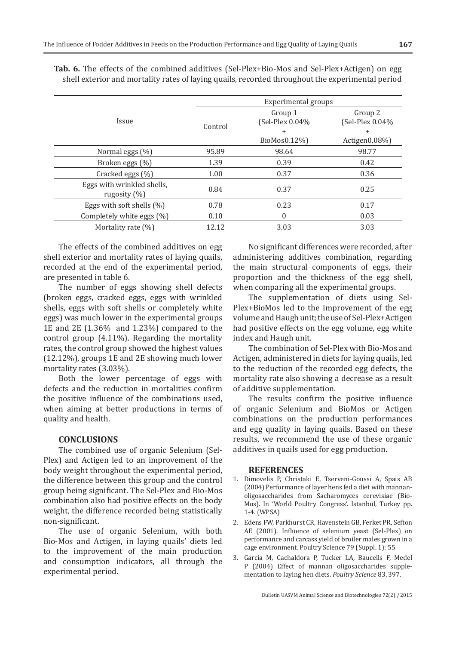|                                                | Experimental groups |                            |                            |  |  |  |
|------------------------------------------------|---------------------|----------------------------|----------------------------|--|--|--|
| <i>Issue</i>                                   | Control             | Group 1<br>(Sel-Plex 0.04% | Group 2<br>(Sel-Plex 0.04% |  |  |  |
|                                                |                     | $\ddot{}$                  | $\pm$                      |  |  |  |
|                                                |                     | BioMos0.12%)               | Actigen0.08%)              |  |  |  |
| Normal eggs (%)                                | 95.89               | 98.64                      | 98.77                      |  |  |  |
| Broken eggs (%)                                | 1.39                | 0.39                       | 0.42                       |  |  |  |
| Cracked eggs $(\% )$                           | 1.00                | 0.37                       | 0.36                       |  |  |  |
| Eggs with wrinkled shells,<br>rugosity $(\% )$ | 0.84                | 0.37                       | 0.25                       |  |  |  |
| Eggs with soft shells $(\%)$                   | 0.78                | 0.23                       | 0.17                       |  |  |  |
| Completely white eggs (%)                      | 0.10                | $\Omega$                   | 0.03                       |  |  |  |
| Mortality rate $(\%)$                          | 12.12               | 3.03                       | 3.03                       |  |  |  |

**Tab. 6.** The effects of the combined additives (Sel-Plex+Bio-Mos and Sel-Plex+Actigen) on egg shell exterior and mortality rates of laying quails, recorded throughout the experimental period

The effects of the combined additives on egg shell exterior and mortality rates of laying quails, recorded at the end of the experimental period, are presented in table 6.

The number of eggs showing shell defects (broken eggs, cracked eggs, eggs with wrinkled shells, eggs with soft shells or completely white eggs) was much lower in the experimental groups 1E and 2E (1.36% and 1.23%) compared to the control group (4.11%). Regarding the mortality rates, the control group showed the highest values (12.12%), groups 1E and 2E showing much lower mortality rates (3.03%).

Both the lower percentage of eggs with defects and the reduction in mortalities confirm the positive influence of the combinations used, when aiming at better productions in terms of quality and health.

## **CONCLUSIONS**

The combined use of organic Selenium (Sel-Plex) and Actigen led to an improvement of the body weight throughout the experimental period, the difference between this group and the control group being significant. The Sel-Plex and Bio-Mos combination also had positive effects on the body weight, the difference recorded being statistically non-significant.

The use of organic Selenium, with both Bio-Mos and Actigen, in laying quails' diets led to the improvement of the main production and consumption indicators, all through the experimental period.

No significant differences were recorded, after administering additives combination, regarding the main structural components of eggs, their proportion and the thickness of the egg shell, when comparing all the experimental groups.

The supplementation of diets using Sel-Plex+BioMos led to the improvement of the egg volume and Haugh unit; the use of Sel-Plex+Actigen had positive effects on the egg volume, egg white index and Haugh unit.

The combination of Sel-Plex with Bio-Mos and Actigen, administered in diets for laying quails, led to the reduction of the recorded egg defects, the mortality rate also showing a decrease as a result of additive supplementation.

The results confirm the positive influence of organic Selenium and BioMos or Actigen combinations on the production performances and egg quality in laying quails. Based on these results, we recommend the use of these organic additives in quails used for egg production.

#### **REFERENCES**

- 1. Dimovelis P, Christaki E, Tserveni-Goussi A, Spais AB (2004) Performance of layer hens fed a diet with mannanoligosaccharides from Sacharomyces cerevisiae (Bio-Mos). In 'World Poultry Congress'. Istanbul, Turkey pp. 1-4. (WPSA)
- 2. Edens FW, Parkhurst CR, Havenstein GB, Ferket PR, Sefton AE (2001). Influence of selenium yeast (Sel-Plex) on performance and carcass yield of broiler males grown in a cage environment. Poultry Science 79 (Suppl. 1): 55
- 3. Garcia M, Cachaldora P, Tucker LA, Baucells F, Medel P (2004) Effect of mannan oligosaccharides supplementation to laying hen diets. *Poultry Science* 83, 397.